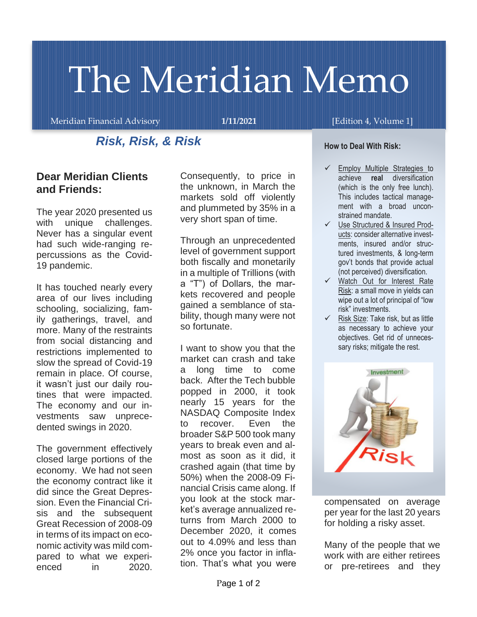# The Meridian Memo

Meridian Financial Advisory **1/11/2021** [Edition 4, Volume 1]

## *Risk, Risk, & Risk*

### **Dear Meridian Clients and Friends:**

The year 2020 presented us with unique challenges. Never has a singular event had such wide-ranging repercussions as the Covid-19 pandemic.

It has touched nearly every area of our lives including schooling, socializing, family gatherings, travel, and more. Many of the restraints from social distancing and restrictions implemented to slow the spread of Covid-19 remain in place. Of course, it wasn't just our daily routines that were impacted. The economy and our investments saw unprecedented swings in 2020.

The government effectively closed large portions of the economy. We had not seen the economy contract like it did since the Great Depression. Even the Financial Crisis and the subsequent Great Recession of 2008-09 in terms of its impact on economic activity was mild compared to what we experienced in 2020.

Consequently, to price in the unknown, in March the markets sold off violently and plummeted by 35% in a very short span of time.

Through an unprecedented level of government support both fiscally and monetarily in a multiple of Trillions (with a "T") of Dollars, the markets recovered and people gained a semblance of stability, though many were not so fortunate.

I want to show you that the market can crash and take a long time to come back. After the Tech bubble popped in 2000, it took nearly 15 years for the NASDAQ Composite Index to recover. Even the broader S&P 500 took many years to break even and almost as soon as it did, it crashed again (that time by 50%) when the 2008-09 Financial Crisis came along. If you look at the stock market's average annualized returns from March 2000 to December 2020, it comes out to 4.09% and less than 2% once you factor in inflation. That's what you were

#### **How to Deal With Risk:**

- $\checkmark$  Employ Multiple Strategies to achieve **real** diversification (which is the only free lunch). This includes tactical management with a broad unconstrained mandate.
- ✓ Use Structured & Insured Products: consider alternative investments, insured and/or structured investments, & long-term gov't bonds that provide actual (not perceived) diversification.
- ✓ Watch Out for Interest Rate Risk: a small move in yields can wipe out a lot of principal of "low risk" investments.
- $\checkmark$  Risk Size: Take risk, but as little as necessary to achieve your objectives. Get rid of unnecessary risks; mitigate the rest.



compensated on average per year for the last 20 years for holding a risky asset.

Many of the people that we work with are either retirees or pre-retirees and they